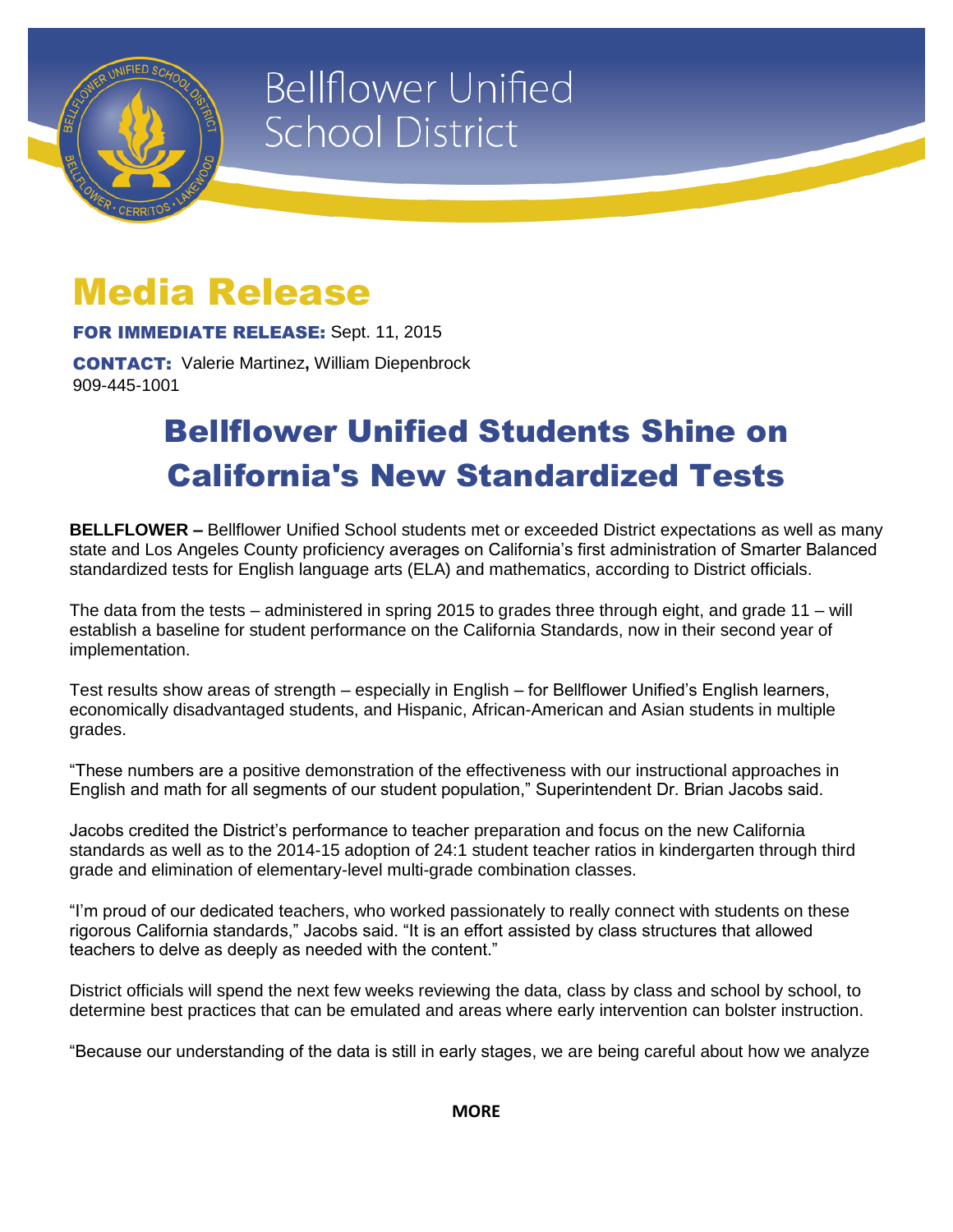

# **Bellflower Unified School District**

## Media Release

FOR IMMEDIATE RELEASE: Sept. 11, 2015

CONTACT: Valerie Martinez**,** William Diepenbrock 909-445-1001

## Bellflower Unified Students Shine on California's New Standardized Tests

**BELLFLOWER –** Bellflower Unified School students met or exceeded District expectations as well as many state and Los Angeles County proficiency averages on California's first administration of Smarter Balanced standardized tests for English language arts (ELA) and mathematics, according to District officials.

The data from the tests – administered in spring 2015 to grades three through eight, and grade 11 – will establish a baseline for student performance on the California Standards, now in their second year of implementation.

Test results show areas of strength – especially in English – for Bellflower Unified's English learners, economically disadvantaged students, and Hispanic, African-American and Asian students in multiple grades.

"These numbers are a positive demonstration of the effectiveness with our instructional approaches in English and math for all segments of our student population," Superintendent Dr. Brian Jacobs said.

Jacobs credited the District's performance to teacher preparation and focus on the new California standards as well as to the 2014-15 adoption of 24:1 student teacher ratios in kindergarten through third grade and elimination of elementary-level multi-grade combination classes.

"I'm proud of our dedicated teachers, who worked passionately to really connect with students on these rigorous California standards," Jacobs said. "It is an effort assisted by class structures that allowed teachers to delve as deeply as needed with the content."

District officials will spend the next few weeks reviewing the data, class by class and school by school, to determine best practices that can be emulated and areas where early intervention can bolster instruction.

"Because our understanding of the data is still in early stages, we are being careful about how we analyze

**MORE**